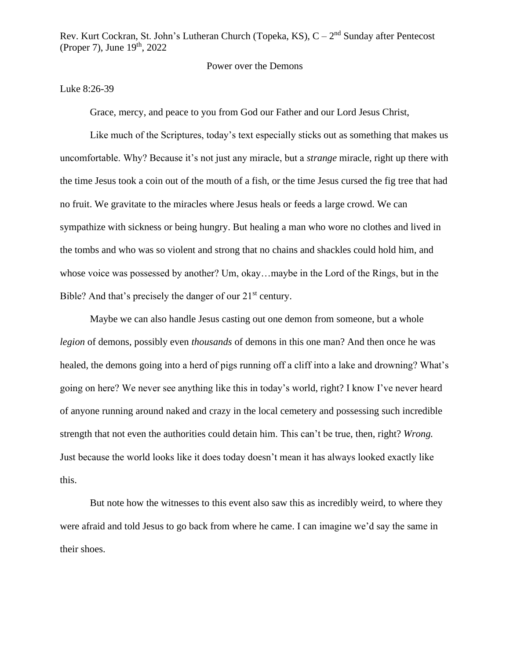## Power over the Demons

## Luke 8:26-39

Grace, mercy, and peace to you from God our Father and our Lord Jesus Christ,

Like much of the Scriptures, today's text especially sticks out as something that makes us uncomfortable. Why? Because it's not just any miracle, but a *strange* miracle, right up there with the time Jesus took a coin out of the mouth of a fish, or the time Jesus cursed the fig tree that had no fruit. We gravitate to the miracles where Jesus heals or feeds a large crowd. We can sympathize with sickness or being hungry. But healing a man who wore no clothes and lived in the tombs and who was so violent and strong that no chains and shackles could hold him, and whose voice was possessed by another? Um, okay…maybe in the Lord of the Rings, but in the Bible? And that's precisely the danger of our  $21<sup>st</sup>$  century.

Maybe we can also handle Jesus casting out one demon from someone, but a whole *legion* of demons, possibly even *thousands* of demons in this one man? And then once he was healed, the demons going into a herd of pigs running off a cliff into a lake and drowning? What's going on here? We never see anything like this in today's world, right? I know I've never heard of anyone running around naked and crazy in the local cemetery and possessing such incredible strength that not even the authorities could detain him. This can't be true, then, right? *Wrong.* Just because the world looks like it does today doesn't mean it has always looked exactly like this.

But note how the witnesses to this event also saw this as incredibly weird, to where they were afraid and told Jesus to go back from where he came. I can imagine we'd say the same in their shoes.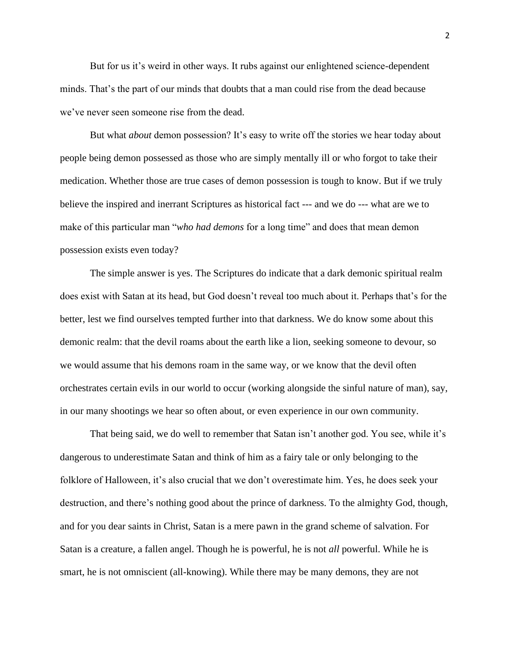But for us it's weird in other ways. It rubs against our enlightened science-dependent minds. That's the part of our minds that doubts that a man could rise from the dead because we've never seen someone rise from the dead.

But what *about* demon possession? It's easy to write off the stories we hear today about people being demon possessed as those who are simply mentally ill or who forgot to take their medication. Whether those are true cases of demon possession is tough to know. But if we truly believe the inspired and inerrant Scriptures as historical fact --- and we do --- what are we to make of this particular man "*who had demons* for a long time" and does that mean demon possession exists even today?

The simple answer is yes. The Scriptures do indicate that a dark demonic spiritual realm does exist with Satan at its head, but God doesn't reveal too much about it. Perhaps that's for the better, lest we find ourselves tempted further into that darkness. We do know some about this demonic realm: that the devil roams about the earth like a lion, seeking someone to devour, so we would assume that his demons roam in the same way, or we know that the devil often orchestrates certain evils in our world to occur (working alongside the sinful nature of man), say, in our many shootings we hear so often about, or even experience in our own community.

That being said, we do well to remember that Satan isn't another god. You see, while it's dangerous to underestimate Satan and think of him as a fairy tale or only belonging to the folklore of Halloween, it's also crucial that we don't overestimate him. Yes, he does seek your destruction, and there's nothing good about the prince of darkness. To the almighty God, though, and for you dear saints in Christ, Satan is a mere pawn in the grand scheme of salvation. For Satan is a creature, a fallen angel. Though he is powerful, he is not *all* powerful. While he is smart, he is not omniscient (all-knowing). While there may be many demons, they are not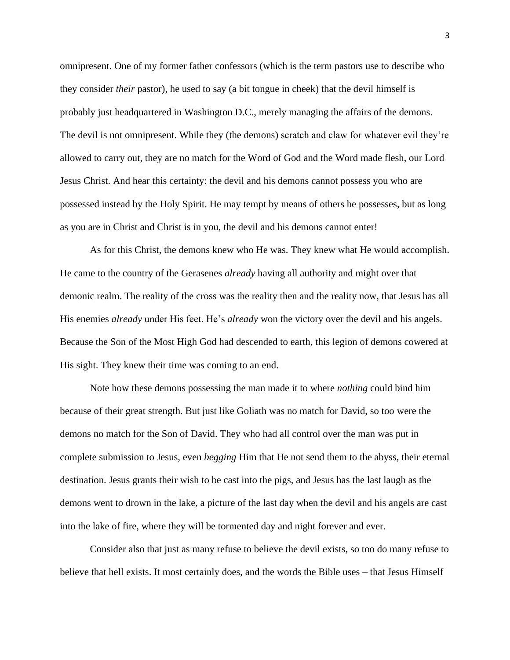omnipresent. One of my former father confessors (which is the term pastors use to describe who they consider *their* pastor), he used to say (a bit tongue in cheek) that the devil himself is probably just headquartered in Washington D.C., merely managing the affairs of the demons. The devil is not omnipresent. While they (the demons) scratch and claw for whatever evil they're allowed to carry out, they are no match for the Word of God and the Word made flesh, our Lord Jesus Christ. And hear this certainty: the devil and his demons cannot possess you who are possessed instead by the Holy Spirit. He may tempt by means of others he possesses, but as long as you are in Christ and Christ is in you, the devil and his demons cannot enter!

As for this Christ, the demons knew who He was. They knew what He would accomplish. He came to the country of the Gerasenes *already* having all authority and might over that demonic realm. The reality of the cross was the reality then and the reality now, that Jesus has all His enemies *already* under His feet. He's *already* won the victory over the devil and his angels. Because the Son of the Most High God had descended to earth, this legion of demons cowered at His sight. They knew their time was coming to an end.

Note how these demons possessing the man made it to where *nothing* could bind him because of their great strength. But just like Goliath was no match for David, so too were the demons no match for the Son of David. They who had all control over the man was put in complete submission to Jesus, even *begging* Him that He not send them to the abyss, their eternal destination. Jesus grants their wish to be cast into the pigs, and Jesus has the last laugh as the demons went to drown in the lake, a picture of the last day when the devil and his angels are cast into the lake of fire, where they will be tormented day and night forever and ever.

Consider also that just as many refuse to believe the devil exists, so too do many refuse to believe that hell exists. It most certainly does, and the words the Bible uses – that Jesus Himself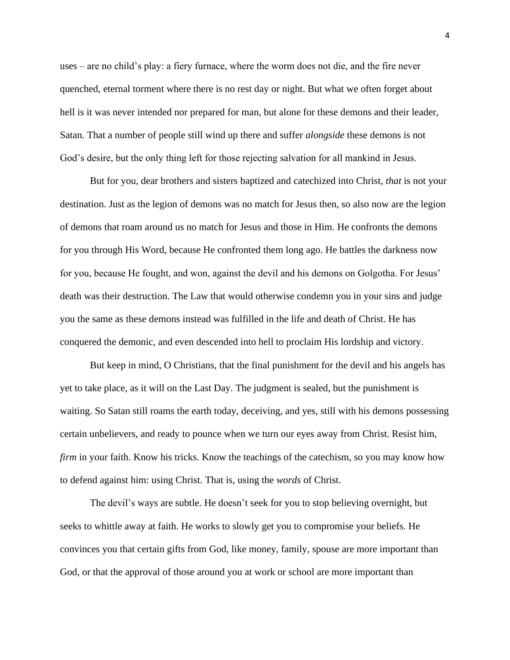uses – are no child's play: a fiery furnace, where the worm does not die, and the fire never quenched, eternal torment where there is no rest day or night. But what we often forget about hell is it was never intended nor prepared for man, but alone for these demons and their leader, Satan. That a number of people still wind up there and suffer *alongside* these demons is not God's desire, but the only thing left for those rejecting salvation for all mankind in Jesus.

But for you, dear brothers and sisters baptized and catechized into Christ, *that* is not your destination. Just as the legion of demons was no match for Jesus then, so also now are the legion of demons that roam around us no match for Jesus and those in Him. He confronts the demons for you through His Word, because He confronted them long ago. He battles the darkness now for you, because He fought, and won, against the devil and his demons on Golgotha. For Jesus' death was their destruction. The Law that would otherwise condemn you in your sins and judge you the same as these demons instead was fulfilled in the life and death of Christ. He has conquered the demonic, and even descended into hell to proclaim His lordship and victory.

But keep in mind, O Christians, that the final punishment for the devil and his angels has yet to take place, as it will on the Last Day. The judgment is sealed, but the punishment is waiting. So Satan still roams the earth today, deceiving, and yes, still with his demons possessing certain unbelievers, and ready to pounce when we turn our eyes away from Christ. Resist him, *firm* in your faith. Know his tricks. Know the teachings of the catechism, so you may know how to defend against him: using Christ. That is, using the *words* of Christ.

The devil's ways are subtle. He doesn't seek for you to stop believing overnight, but seeks to whittle away at faith. He works to slowly get you to compromise your beliefs. He convinces you that certain gifts from God, like money, family, spouse are more important than God, or that the approval of those around you at work or school are more important than